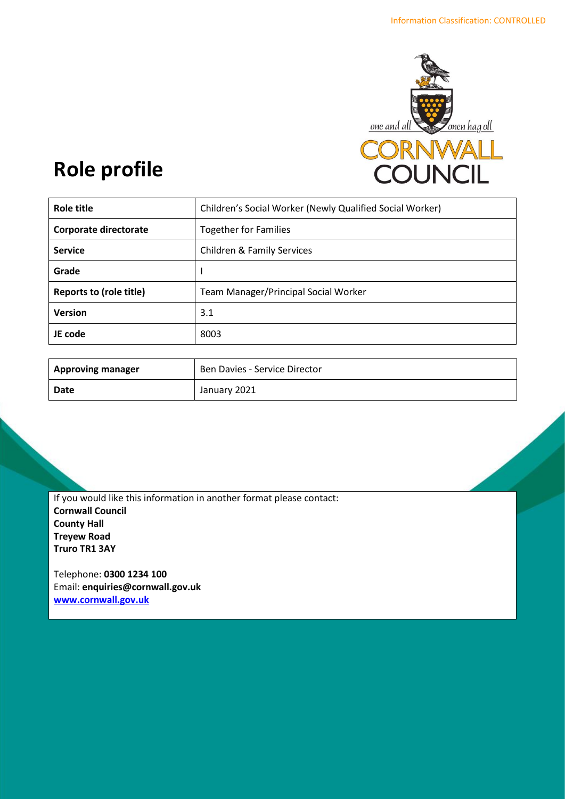

# **Role profile**

| Role title              | Children's Social Worker (Newly Qualified Social Worker) |
|-------------------------|----------------------------------------------------------|
| Corporate directorate   | <b>Together for Families</b>                             |
| <b>Service</b>          | Children & Family Services                               |
| Grade                   |                                                          |
| Reports to (role title) | <b>Team Manager/Principal Social Worker</b>              |
| <b>Version</b>          | 3.1                                                      |
| JE code                 | 8003                                                     |
|                         |                                                          |

| <b>Approving manager</b> | Ben Davies - Service Director |
|--------------------------|-------------------------------|
| Date                     | January 2021                  |

If you would like this information in another format please contact: **Cornwall Council County Hall Treyew Road Truro TR1 3AY**

Telephone: **0300 1234 100** Email: **[enquiries@cornwall.gov.uk](mailto:enquiries@cornwall.gov.uk) [www.cornwall.gov.uk](http://www.cornwall.gov.uk/)**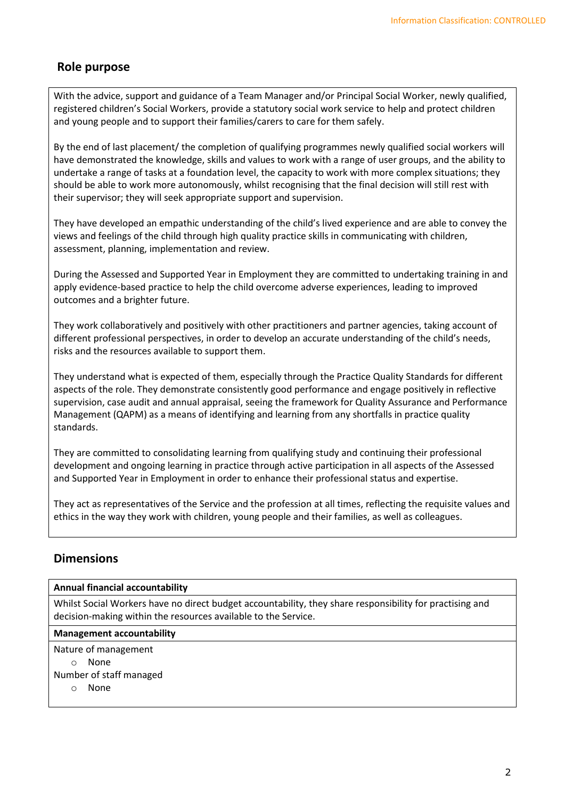# **Role purpose**

With the advice, support and guidance of a Team Manager and/or Principal Social Worker, newly qualified, registered children's Social Workers, provide a statutory social work service to help and protect children and young people and to support their families/carers to care for them safely.

By the end of last placement/ the completion of qualifying programmes newly qualified social workers will have demonstrated the knowledge, skills and values to work with a range of user groups, and the ability to undertake a range of tasks at a foundation level, the capacity to work with more complex situations; they should be able to work more autonomously, whilst recognising that the final decision will still rest with their supervisor; they will seek appropriate support and supervision.

They have developed an empathic understanding of the child's lived experience and are able to convey the views and feelings of the child through high quality practice skills in communicating with children, assessment, planning, implementation and review.

During the Assessed and Supported Year in Employment they are committed to undertaking training in and apply evidence-based practice to help the child overcome adverse experiences, leading to improved outcomes and a brighter future.

They work collaboratively and positively with other practitioners and partner agencies, taking account of different professional perspectives, in order to develop an accurate understanding of the child's needs, risks and the resources available to support them.

They understand what is expected of them, especially through the Practice Quality Standards for different aspects of the role. They demonstrate consistently good performance and engage positively in reflective supervision, case audit and annual appraisal, seeing the framework for Quality Assurance and Performance Management (QAPM) as a means of identifying and learning from any shortfalls in practice quality standards.

They are committed to consolidating learning from qualifying study and continuing their professional development and ongoing learning in practice through active participation in all aspects of the Assessed and Supported Year in Employment in order to enhance their professional status and expertise.

They act as representatives of the Service and the profession at all times, reflecting the requisite values and ethics in the way they work with children, young people and their families, as well as colleagues.

# **Dimensions**

#### **Annual financial accountability**

Whilst Social Workers have no direct budget accountability, they share responsibility for practising and decision-making within the resources available to the Service.

#### **Management accountability**

Nature of management

o None

Number of staff managed

o None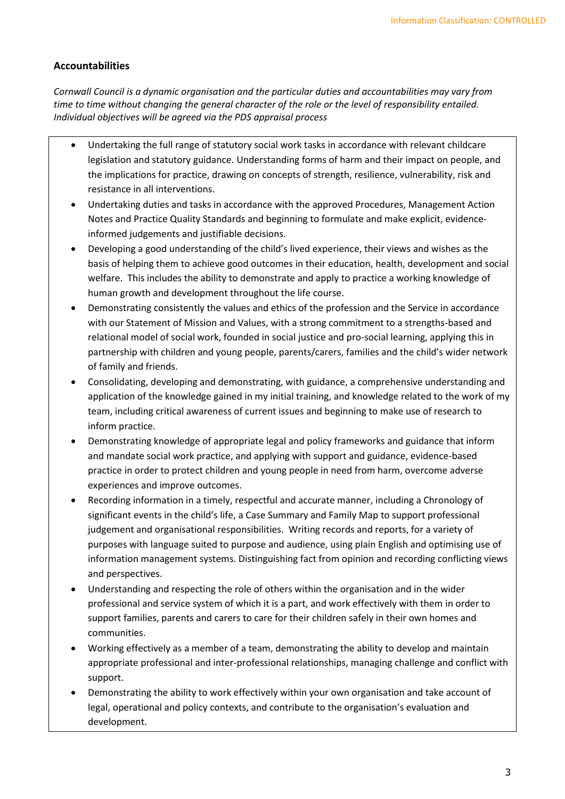## **Accountabilities**

*Cornwall Council is a dynamic organisation and the particular duties and accountabilities may vary from time to time without changing the general character of the role or the level of responsibility entailed. Individual objectives will be agreed via the PDS appraisal process* 

- Undertaking the full range of statutory social work tasks in accordance with relevant childcare legislation and statutory guidance. Understanding forms of harm and their impact on people, and the implications for practice, drawing on concepts of strength, resilience, vulnerability, risk and resistance in all interventions.
- Undertaking duties and tasks in accordance with the approved Procedures, Management Action Notes and Practice Quality Standards and beginning to formulate and make explicit, evidenceinformed judgements and justifiable decisions.
- Developing a good understanding of the child's lived experience, their views and wishes as the basis of helping them to achieve good outcomes in their education, health, development and social welfare. This includes the ability to demonstrate and apply to practice a working knowledge of human growth and development throughout the life course.
- Demonstrating consistently the values and ethics of the profession and the Service in accordance with our Statement of Mission and Values, with a strong commitment to a strengths-based and relational model of social work, founded in social justice and pro-social learning, applying this in partnership with children and young people, parents/carers, families and the child's wider network of family and friends.
- Consolidating, developing and demonstrating, with guidance, a comprehensive understanding and application of the knowledge gained in my initial training, and knowledge related to the work of my team, including critical awareness of current issues and beginning to make use of research to inform practice.
- Demonstrating knowledge of appropriate legal and policy frameworks and guidance that inform and mandate social work practice, and applying with support and guidance, evidence-based practice in order to protect children and young people in need from harm, overcome adverse experiences and improve outcomes.
- Recording information in a timely, respectful and accurate manner, including a Chronology of significant events in the child's life, a Case Summary and Family Map to support professional judgement and organisational responsibilities. Writing records and reports, for a variety of purposes with language suited to purpose and audience, using plain English and optimising use of information management systems. Distinguishing fact from opinion and recording conflicting views and perspectives.
- Understanding and respecting the role of others within the organisation and in the wider professional and service system of which it is a part, and work effectively with them in order to support families, parents and carers to care for their children safely in their own homes and communities.
- Working effectively as a member of a team, demonstrating the ability to develop and maintain appropriate professional and inter-professional relationships, managing challenge and conflict with support.
- Demonstrating the ability to work effectively within your own organisation and take account of legal, operational and policy contexts, and contribute to the organisation's evaluation and development.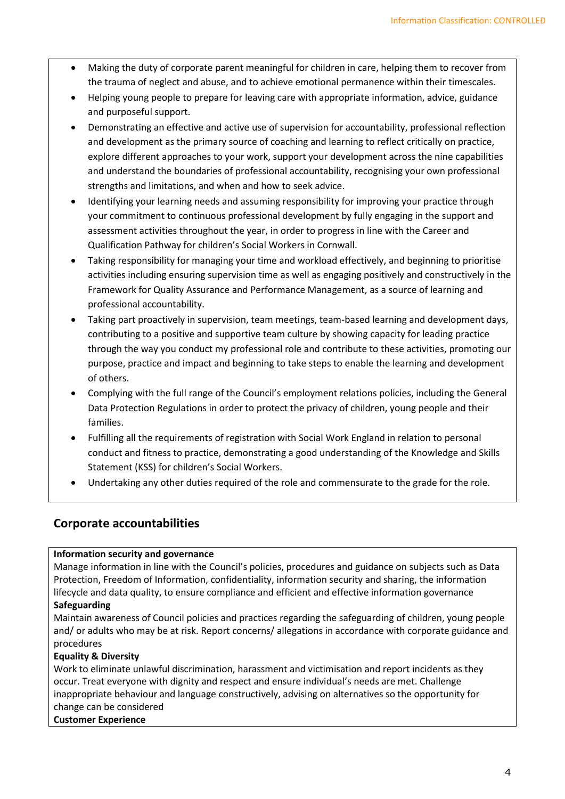- Making the duty of corporate parent meaningful for children in care, helping them to recover from the trauma of neglect and abuse, and to achieve emotional permanence within their timescales.
- Helping young people to prepare for leaving care with appropriate information, advice, guidance and purposeful support.
- Demonstrating an effective and active use of supervision for accountability, professional reflection and development as the primary source of coaching and learning to reflect critically on practice, explore different approaches to your work, support your development across the nine capabilities and understand the boundaries of professional accountability, recognising your own professional strengths and limitations, and when and how to seek advice.
- Identifying your learning needs and assuming responsibility for improving your practice through your commitment to continuous professional development by fully engaging in the support and assessment activities throughout the year, in order to progress in line with the Career and Qualification Pathway for children's Social Workers in Cornwall.
- Taking responsibility for managing your time and workload effectively, and beginning to prioritise activities including ensuring supervision time as well as engaging positively and constructively in the Framework for Quality Assurance and Performance Management, as a source of learning and professional accountability.
- Taking part proactively in supervision, team meetings, team-based learning and development days, contributing to a positive and supportive team culture by showing capacity for leading practice through the way you conduct my professional role and contribute to these activities, promoting our purpose, practice and impact and beginning to take steps to enable the learning and development of others.
- Complying with the full range of the Council's employment relations policies, including the General Data Protection Regulations in order to protect the privacy of children, young people and their families.
- Fulfilling all the requirements of registration with Social Work England in relation to personal conduct and fitness to practice, demonstrating a good understanding of the Knowledge and Skills Statement (KSS) for children's Social Workers.
- Undertaking any other duties required of the role and commensurate to the grade for the role.

# **Corporate accountabilities**

## **Information security and governance**

Manage information in line with the Council's policies, procedures and guidance on subjects such as Data Protection, Freedom of Information, confidentiality, information security and sharing, the information lifecycle and data quality, to ensure compliance and efficient and effective information governance

## **Safeguarding**

Maintain awareness of Council policies and practices regarding the safeguarding of children, young people and/ or adults who may be at risk. Report concerns/ allegations in accordance with corporate guidance and procedures

## **Equality & Diversity**

Work to eliminate unlawful discrimination, harassment and victimisation and report incidents as they occur. Treat everyone with dignity and respect and ensure individual's needs are met. Challenge inappropriate behaviour and language constructively, advising on alternatives so the opportunity for change can be considered

#### **Customer Experience**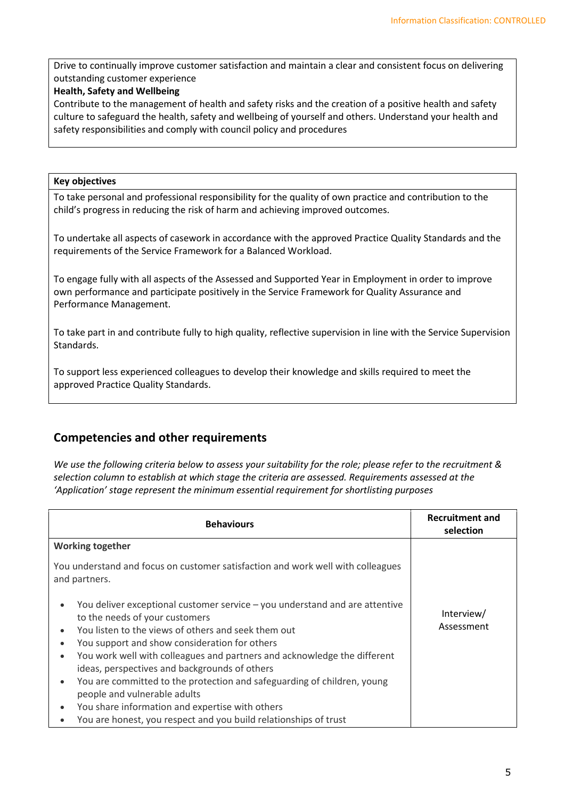Drive to continually improve customer satisfaction and maintain a clear and consistent focus on delivering outstanding customer experience

#### **Health, Safety and Wellbeing**

Contribute to the management of health and safety risks and the creation of a positive health and safety culture to safeguard the health, safety and wellbeing of yourself and others. Understand your health and safety responsibilities and comply with council policy and procedures

#### **Key objectives**

To take personal and professional responsibility for the quality of own practice and contribution to the child's progress in reducing the risk of harm and achieving improved outcomes.

To undertake all aspects of casework in accordance with the approved Practice Quality Standards and the requirements of the Service Framework for a Balanced Workload.

To engage fully with all aspects of the Assessed and Supported Year in Employment in order to improve own performance and participate positively in the Service Framework for Quality Assurance and Performance Management.

To take part in and contribute fully to high quality, reflective supervision in line with the Service Supervision Standards.

To support less experienced colleagues to develop their knowledge and skills required to meet the approved Practice Quality Standards.

# **Competencies and other requirements**

*We use the following criteria below to assess your suitability for the role; please refer to the recruitment & selection column to establish at which stage the criteria are assessed. Requirements assessed at the 'Application' stage represent the minimum essential requirement for shortlisting purposes*

| <b>Behaviours</b>                                                                                                                                                                                                                                                                                                                                                                                                                                                                                                                                                                                                                             | <b>Recruitment and</b><br>selection |
|-----------------------------------------------------------------------------------------------------------------------------------------------------------------------------------------------------------------------------------------------------------------------------------------------------------------------------------------------------------------------------------------------------------------------------------------------------------------------------------------------------------------------------------------------------------------------------------------------------------------------------------------------|-------------------------------------|
| <b>Working together</b>                                                                                                                                                                                                                                                                                                                                                                                                                                                                                                                                                                                                                       |                                     |
| You understand and focus on customer satisfaction and work well with colleagues<br>and partners.                                                                                                                                                                                                                                                                                                                                                                                                                                                                                                                                              |                                     |
| You deliver exceptional customer service - you understand and are attentive<br>$\bullet$<br>to the needs of your customers<br>You listen to the views of others and seek them out<br>You support and show consideration for others<br>٠<br>You work well with colleagues and partners and acknowledge the different<br>$\bullet$<br>ideas, perspectives and backgrounds of others<br>You are committed to the protection and safeguarding of children, young<br>$\bullet$<br>people and vulnerable adults<br>You share information and expertise with others<br>$\bullet$<br>You are honest, you respect and you build relationships of trust | Interview/<br>Assessment            |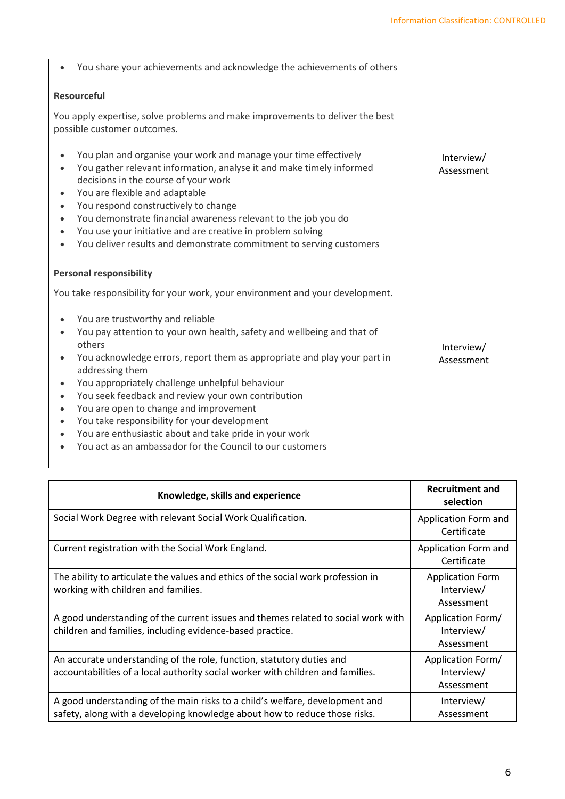| You share your achievements and acknowledge the achievements of others                                                                                                                                                                                                                                                                                                                                                                                                                                                                                                               |                          |
|--------------------------------------------------------------------------------------------------------------------------------------------------------------------------------------------------------------------------------------------------------------------------------------------------------------------------------------------------------------------------------------------------------------------------------------------------------------------------------------------------------------------------------------------------------------------------------------|--------------------------|
| <b>Resourceful</b><br>You apply expertise, solve problems and make improvements to deliver the best<br>possible customer outcomes.                                                                                                                                                                                                                                                                                                                                                                                                                                                   |                          |
| You plan and organise your work and manage your time effectively<br>You gather relevant information, analyse it and make timely informed<br>decisions in the course of your work<br>You are flexible and adaptable<br>$\bullet$<br>You respond constructively to change<br>You demonstrate financial awareness relevant to the job you do<br>You use your initiative and are creative in problem solving<br>You deliver results and demonstrate commitment to serving customers                                                                                                      | Interview/<br>Assessment |
| <b>Personal responsibility</b><br>You take responsibility for your work, your environment and your development.                                                                                                                                                                                                                                                                                                                                                                                                                                                                      |                          |
| You are trustworthy and reliable<br>You pay attention to your own health, safety and wellbeing and that of<br>others<br>You acknowledge errors, report them as appropriate and play your part in<br>addressing them<br>You appropriately challenge unhelpful behaviour<br>$\bullet$<br>You seek feedback and review your own contribution<br>$\bullet$<br>You are open to change and improvement<br>$\bullet$<br>You take responsibility for your development<br>You are enthusiastic about and take pride in your work<br>You act as an ambassador for the Council to our customers | Interview/<br>Assessment |

| Knowledge, skills and experience                                                                                                                           | <b>Recruitment and</b><br>selection                 |
|------------------------------------------------------------------------------------------------------------------------------------------------------------|-----------------------------------------------------|
| Social Work Degree with relevant Social Work Qualification.                                                                                                | Application Form and<br>Certificate                 |
| Current registration with the Social Work England.                                                                                                         | Application Form and<br>Certificate                 |
| The ability to articulate the values and ethics of the social work profession in<br>working with children and families.                                    | <b>Application Form</b><br>Interview/<br>Assessment |
| A good understanding of the current issues and themes related to social work with<br>children and families, including evidence-based practice.             | Application Form/<br>Interview/<br>Assessment       |
| An accurate understanding of the role, function, statutory duties and<br>accountabilities of a local authority social worker with children and families.   | Application Form/<br>Interview/<br>Assessment       |
| A good understanding of the main risks to a child's welfare, development and<br>safety, along with a developing knowledge about how to reduce those risks. | Interview/<br>Assessment                            |